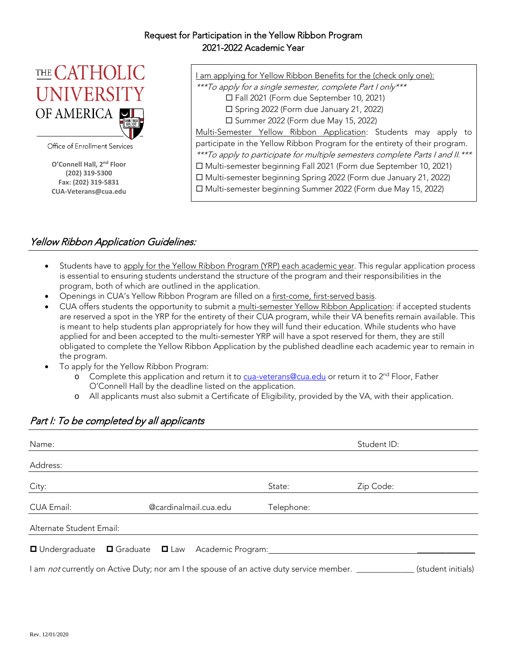#### Request for Participation in the Yellow Ribbon Program 2021-2022 Academic Year



Office of Enrollment Services

**O'Connell Hall, 2nd Floor (202) 319-5300 Fax: (202) 319-5831 CUA-Veterans@cua.edu** I am applying for Yellow Ribbon Benefits for the (check only one):

\*\*\*To apply for a single semester, complete Part I only\*\*\*

Fall 2021 (Form due September 10, 2021)

Spring 2022 (Form due January 21, 2022)

□ Summer 2022 (Form due May 15, 2022)

Multi-Semester Yellow Ribbon Application: Students may apply to participate in the Yellow Ribbon Program for the entirety of their program. \*\*\*To apply to participate for multiple semesters complete Parts I and II.\*\*\* Multi-semester beginning Fall 2021 (Form due September 10, 2021)

Multi-semester beginning Spring 2022 (Form due January 21, 2022)

Multi-semester beginning Summer 2022 (Form due May 15, 2022)

### Yellow Ribbon Application Guidelines:

- Students have to apply for the Yellow Ribbon Program (YRP) each academic year. This regular application process is essential to ensuring students understand the structure of the program and their responsibilities in the program, both of which are outlined in the application.
- Openings in CUA's Yellow Ribbon Program are filled on a first-come, first-served basis.
- CUA offers students the opportunity to submit a multi-semester Yellow Ribbon Application: if accepted students are reserved a spot in the YRP for the entirety of their CUA program, while their VA benefits remain available. This is meant to help students plan appropriately for how they will fund their education. While students who have applied for and been accepted to the multi-semester YRP will have a spot reserved for them, they are still obligated to complete the Yellow Ribbon Application by the published deadline each academic year to remain in the program.
- To apply for the Yellow Ribbon Program:
	- o Complete this application and return it to [cua-veterans@cua.edu](mailto:cua-veterans@cua.edu) or return it to 2<sup>nd</sup> Floor, Father O'Connell Hall by the deadline listed on the application.
	- o All applicants must also submit a Certificate of Eligibility, provided by the VA, with their application.

| Name:                    |                                                                                          | Student ID: |           |                    |
|--------------------------|------------------------------------------------------------------------------------------|-------------|-----------|--------------------|
| Address:                 |                                                                                          |             |           |                    |
| City:                    |                                                                                          | State:      | Zip Code: |                    |
| CUA Email:               | @cardinalmail.cua.edu                                                                    | Telephone:  |           |                    |
| Alternate Student Email: |                                                                                          |             |           |                    |
|                          | □ Undergraduate □ Graduate □ Law Academic Program:                                       |             |           |                    |
|                          | I am not currently on Active Duty; nor am I the spouse of an active duty service member. |             |           | (student initials) |

## Part I: To be completed by all applicants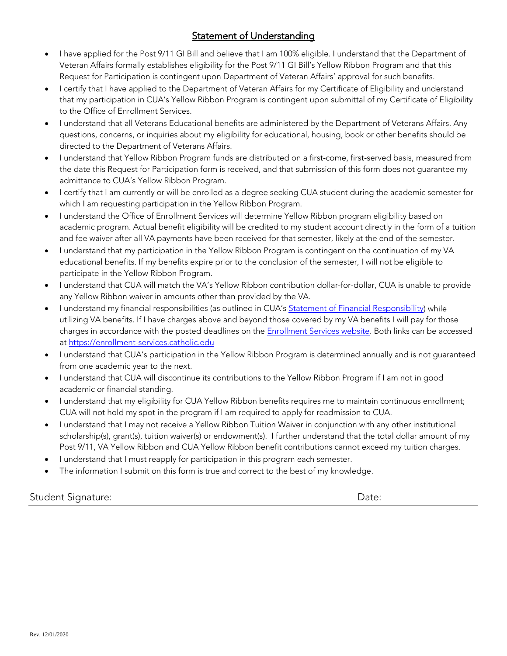# Statement of Understanding

- I have applied for the Post 9/11 GI Bill and believe that I am 100% eligible. I understand that the Department of Veteran Affairs formally establishes eligibility for the Post 9/11 GI Bill's Yellow Ribbon Program and that this Request for Participation is contingent upon Department of Veteran Affairs' approval for such benefits.
- I certify that I have applied to the Department of Veteran Affairs for my Certificate of Eligibility and understand that my participation in CUA's Yellow Ribbon Program is contingent upon submittal of my Certificate of Eligibility to the Office of Enrollment Services.
- I understand that all Veterans Educational benefits are administered by the Department of Veterans Affairs. Any questions, concerns, or inquiries about my eligibility for educational, housing, book or other benefits should be directed to the Department of Veterans Affairs.
- I understand that Yellow Ribbon Program funds are distributed on a first-come, first-served basis, measured from the date this Request for Participation form is received, and that submission of this form does not guarantee my admittance to CUA's Yellow Ribbon Program.
- I certify that I am currently or will be enrolled as a degree seeking CUA student during the academic semester for which I am requesting participation in the Yellow Ribbon Program.
- I understand the Office of Enrollment Services will determine Yellow Ribbon program eligibility based on academic program. Actual benefit eligibility will be credited to my student account directly in the form of a tuition and fee waiver after all VA payments have been received for that semester, likely at the end of the semester.
- I understand that my participation in the Yellow Ribbon Program is contingent on the continuation of my VA educational benefits. If my benefits expire prior to the conclusion of the semester, I will not be eligible to participate in the Yellow Ribbon Program.
- I understand that CUA will match the VA's Yellow Ribbon contribution dollar-for-dollar, CUA is unable to provide any Yellow Ribbon waiver in amounts other than provided by the VA.
- I understand my financial responsibilities (as outlined in CUA'[s Statement of Financial Responsibility\)](https://enrollment-services.catholic.edu/billing/statement-of-financial-responsibility/index.html) while utilizing VA benefits. If I have charges above and beyond those covered by my VA benefits I will pay for those charges in accordance with the posted deadlines on the **Enrollment Services website**. Both links can be accessed at [https://enrollment-services.catholic.edu](https://enrollment-services.catholic.edu/)
- I understand that CUA's participation in the Yellow Ribbon Program is determined annually and is not guaranteed from one academic year to the next.
- I understand that CUA will discontinue its contributions to the Yellow Ribbon Program if I am not in good academic or financial standing.
- I understand that my eligibility for CUA Yellow Ribbon benefits requires me to maintain continuous enrollment; CUA will not hold my spot in the program if I am required to apply for readmission to CUA.
- I understand that I may not receive a Yellow Ribbon Tuition Waiver in conjunction with any other institutional scholarship(s), grant(s), tuition waiver(s) or endowment(s). I further understand that the total dollar amount of my Post 9/11, VA Yellow Ribbon and CUA Yellow Ribbon benefit contributions cannot exceed my tuition charges.
- I understand that I must reapply for participation in this program each semester.
- The information I submit on this form is true and correct to the best of my knowledge.

Student Signature: Date: Date: Date: Date: Date: Date: Date: Date: Date: Date: Date: Date: Date: Date: Date: D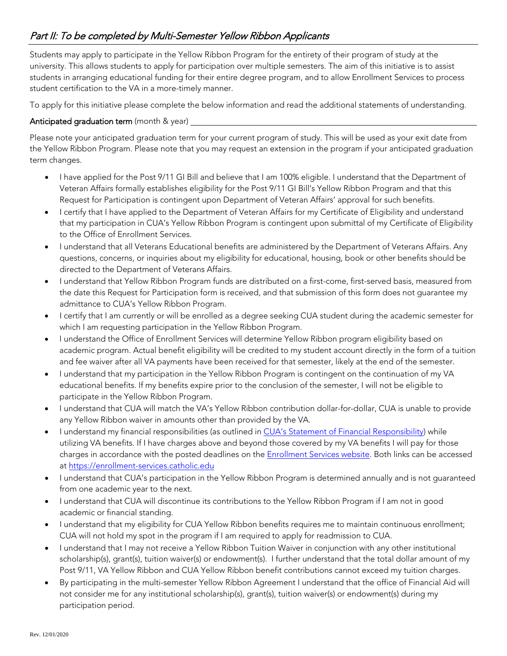Students may apply to participate in the Yellow Ribbon Program for the entirety of their program of study at the university. This allows students to apply for participation over multiple semesters. The aim of this initiative is to assist students in arranging educational funding for their entire degree program, and to allow Enrollment Services to process student certification to the VA in a more-timely manner.

To apply for this initiative please complete the below information and read the additional statements of understanding.

#### Anticipated graduation term (month & year) \_\_\_\_

Please note your anticipated graduation term for your current program of study. This will be used as your exit date from the Yellow Ribbon Program. Please note that you may request an extension in the program if your anticipated graduation term changes.

- I have applied for the Post 9/11 GI Bill and believe that I am 100% eligible. I understand that the Department of Veteran Affairs formally establishes eligibility for the Post 9/11 GI Bill's Yellow Ribbon Program and that this Request for Participation is contingent upon Department of Veteran Affairs' approval for such benefits.
- I certify that I have applied to the Department of Veteran Affairs for my Certificate of Eligibility and understand that my participation in CUA's Yellow Ribbon Program is contingent upon submittal of my Certificate of Eligibility to the Office of Enrollment Services.
- I understand that all Veterans Educational benefits are administered by the Department of Veterans Affairs. Any questions, concerns, or inquiries about my eligibility for educational, housing, book or other benefits should be directed to the Department of Veterans Affairs.
- I understand that Yellow Ribbon Program funds are distributed on a first-come, first-served basis, measured from the date this Request for Participation form is received, and that submission of this form does not guarantee my admittance to CUA's Yellow Ribbon Program.
- I certify that I am currently or will be enrolled as a degree seeking CUA student during the academic semester for which I am requesting participation in the Yellow Ribbon Program.
- I understand the Office of Enrollment Services will determine Yellow Ribbon program eligibility based on academic program. Actual benefit eligibility will be credited to my student account directly in the form of a tuition and fee waiver after all VA payments have been received for that semester, likely at the end of the semester.
- I understand that my participation in the Yellow Ribbon Program is contingent on the continuation of my VA educational benefits. If my benefits expire prior to the conclusion of the semester, I will not be eligible to participate in the Yellow Ribbon Program.
- I understand that CUA will match the VA's Yellow Ribbon contribution dollar-for-dollar, CUA is unable to provide any Yellow Ribbon waiver in amounts other than provided by the VA.
- I understand my financial responsibilities (as outlined in [CUA's Statement of Financial Responsibility\)](http://enrollmentservices.cua.edu/Student-Financial-Information/statement-of-financial-responsibility.cfm) while utilizing VA benefits. If I have charges above and beyond those covered by my VA benefits I will pay for those charges in accordance with the posted deadlines on the **Enrollment Services website**. Both links can be accessed at [https://enrollment-services.catholic.edu](https://enrollment-services.catholic.edu/)
- I understand that CUA's participation in the Yellow Ribbon Program is determined annually and is not guaranteed from one academic year to the next.
- I understand that CUA will discontinue its contributions to the Yellow Ribbon Program if I am not in good academic or financial standing.
- I understand that my eligibility for CUA Yellow Ribbon benefits requires me to maintain continuous enrollment; CUA will not hold my spot in the program if I am required to apply for readmission to CUA.
- I understand that I may not receive a Yellow Ribbon Tuition Waiver in conjunction with any other institutional scholarship(s), grant(s), tuition waiver(s) or endowment(s). I further understand that the total dollar amount of my Post 9/11, VA Yellow Ribbon and CUA Yellow Ribbon benefit contributions cannot exceed my tuition charges.
- By participating in the multi-semester Yellow Ribbon Agreement I understand that the office of Financial Aid will not consider me for any institutional scholarship(s), grant(s), tuition waiver(s) or endowment(s) during my participation period.